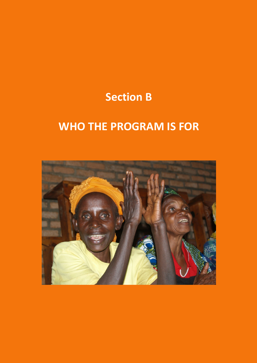# Section B

# WHO THE PROGRAM IS FOR

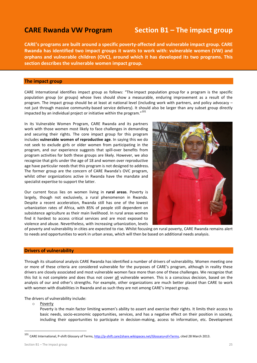## CARE Rwanda VW Program Section B1 - The impact group

CARE's programs are built around a specific poverty-affected and vulnerable impact group. CARE Rwanda has identified two impact groups it wants to work with: vulnerable women (VW) and orphans and vulnerable children (OVC), around which it has developed its two programs. This section describes the vulnerable women impact group.

#### The impact group

CARE International identifies impact group as follows: "The impact population group for a program is the specific population group (or groups) whose lives should show a measurable, enduring improvement as a result of the program. The impact group should be at least at national level (including work with partners, and policy advocacy – not just through massive community-based service delivery). It should also be larger than any subset group directly impacted by an individual project or initiative within the program."<sup>101</sup>

In its Vulnerable Women Program, CARE Rwanda and its partners work with those women most likely to face challenges in demanding and securing their rights. The core impact group for this program includes vulnerable women of reproductive age. In saying this we do not seek to exclude girls or older women from participating in the program, and our experience suggests that spill-over benefits from program activities for both these groups are likely. However, we also recognize that girls under the age of 18 and women over reproductive age have particular needs that this program is not designed to address. The former group are the concern of CARE Rwanda's OVC program, whilst other organizations active in Rwanda have the mandate and specialist expertise to support the latter.

Our current focus lies on women living in rural areas. Poverty is largely, though not exclusively, a rural phenomenon in Rwanda. Despite a recent acceleration, Rwanda still has one of the lowest urbanization rates of Africa, with 85% of people still dependent on subsistence agriculture as their main livelihood. In rural areas women find it hardest to access critical services and are most exposed to violence and abuse. Nevertheless, with increasing urbanization, levels



of poverty and vulnerability in cities are expected to rise. Whilst focusing on rural poverty, CARE Rwanda remains alert to needs and opportunities to work in urban areas, which will then be based on additional needs analysis.

### Drivers of vulnerability

Through its situational analysis CARE Rwanda has identified a number of drivers of vulnerability. Women meeting one or more of these criteria are considered vulnerable for the purposes of CARE's program, although in reality these drivers are closely associated and most vulnerable women face more than one of these challenges. We recognize that this list is not complete and does thus not cover all vulnerable women. This is a conscious decision, based on the analysis of our and other's strengths. For example, other organizations are much better placed than CARE to work with women with disabilities in Rwanda and as such they are not among CARE's impact group.

The drivers of vulnerability include:

o Poverty

 $\overline{a}$ 

Poverty is the main factor limiting women's ability to assert and exercise their rights. It limits their access to basic needs, socio-economic opportunities, services, and has a negative effect on their position in society, including their opportunities to participate in decision-making, access to information, etc. Development

<sup>101</sup> CARE International, P-shift Glossary of Terms, http://p-shift.care2share.wikispaces.net/Glossary+of+Terms, cited 28 March 2013.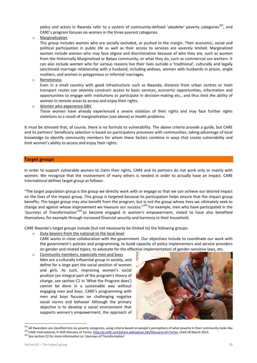policy and actors in Rwanda refer to a system of community-defined 'ubudehe' poverty categories<sup>102</sup>. and CARE's program focuses on women in the three poorest categories.

o Marginalization

This group includes women who are socially excluded, or pushed to the margin. Their economic, social and political participation in public life as well as their access to services are severely limited. Marginalized women include women who may face stigma and discrimination because of who they are, such as women from the Historically Marginalized or Batwa community, or what they do, such as commercial sex workers. It can also include women who for various reasons live their lives outside a 'traditional', culturally and legally sanctioned marriage relationship with a husband, including widows, women with husbands in prison, single mothers, and women in polygamous or informal marriages.

o Remoteness

Even in a small country with good infrastructure such as Rwanda, distance from urban centres or main transport routes can severely constrain access to basic services, economic opportunities, information and opportunities to engage with institutions or participate in decision-making etc., and thus limit the ability of women in remote areas to access and enjoy their rights.

o Women who experience GBV

These women have already experienced a severe violation of their rights and may face further rights violations as a result of marginalization (see above) or health problems.

It must be stressed that, of course, there is no formula to vulnerability. The above criteria provide a guide, but CARE and its partners' beneficiary selection is based on participatory processes with communities, taking advantage of local knowledge to identify community members for whom these factors combine in ways that create vulnerability and limit women's ability to access and enjoy their rights.

#### Target groups

In order to support vulnerable women to claim their rights, CARE and its partners do not work only or mainly with women. We recognize that the involvement of many others is needed in order to actually have an impact. CARE International defines target group as follows:

"The target population group is the group we directly work with or engage so that we can achieve our desired impact on the lives of the impact group. This group is targeted because its participation helps ensure that the impact group benefits. The target group may also benefit from the program, but is not the group whose lives we ultimately seek to change and against whose improvement we measure our success."<sup>103</sup> For example, men who have participated in the 'Journevs of Transformation'<sup>104</sup> to become engaged in women's empowerment, stated to have also benefited themselves, for example through increased financial security and harmony in their household.

CARE Rwanda's target groups include (but not necessarily be limited to) the following groups:

o Duty bearers from the national to the local level

CARE works in close collaboration with the government. Our objectives include to coordinate our work with the government's policies and programming, to build capacity of policy implementers and service providers on gender and related topics, to advocate for the effective implementation of gender-sensitive laws, etc.

o Community members, especially men and boys Men are a culturally influential group in society, and define for a large part the social position of women and girls. As such, improving women's social position (an integral part of the program's theory of change, see section C1 in 'What the Program does') cannot be done in a sustainable way without engaging men and boys. CARE's programming with men and boys focuses on challenging negative social norms and behavior Although the primary objective is to develop a social environment that supports women's empowerment, the approach of



<sup>&</sup>lt;sup>102</sup> All Rwandans are classified into six poverty categories, using criteria based on people's perceptions of what poverty in their community looks like. <sup>103</sup> CARE International, P-shift Glossary of Terms, http://p-shift.care2share.wikispaces.net/Glossary+of+Terms, cited 28 March 2013.

 $\overline{\phantom{0}}$ 

<sup>&</sup>lt;sup>104</sup> See section C2 for more information on 'Journeys of Transformation'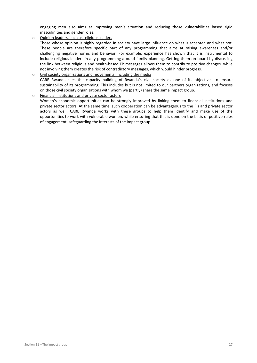engaging men also aims at improving men's situation and reducing those vulnerabilities based rigid masculinities and gender roles.

o Opinion leaders, such as religious leaders

Those whose opinion is highly regarded in society have large influence on what is accepted and what not. These people are therefore specific part of any programming that aims at raising awareness and/or challenging negative norms and behavior. For example, experience has shown that it is instrumental to include religious leaders in any programming around family planning. Getting them on board by discussing the link between religious and health-based FP messages allows them to contribute positive changes, while not involving them creates the risk of contradictory messages, which would hinder progress.

### o Civil society organizations and movements, including the media CARE Rwanda sees the capacity building of Rwanda's civil society as one of its objectives to ensure sustainability of its programming. This includes but is not limited to our partners organizations, and focuses on those civil society organizations with whom we (partly) share the same impact group.

o Financial institutions and private sector actors

Women's economic opportunities can be strongly improved by linking them to financial institutions and private sector actors. At the same time, such cooperation can be advantageous to the FIs and private sector actors as well. CARE Rwanda works with these groups to help them identify and make use of the opportunities to work with vulnerable women, while ensuring that this is done on the basis of positive rules of engagement, safeguarding the interests of the impact group.